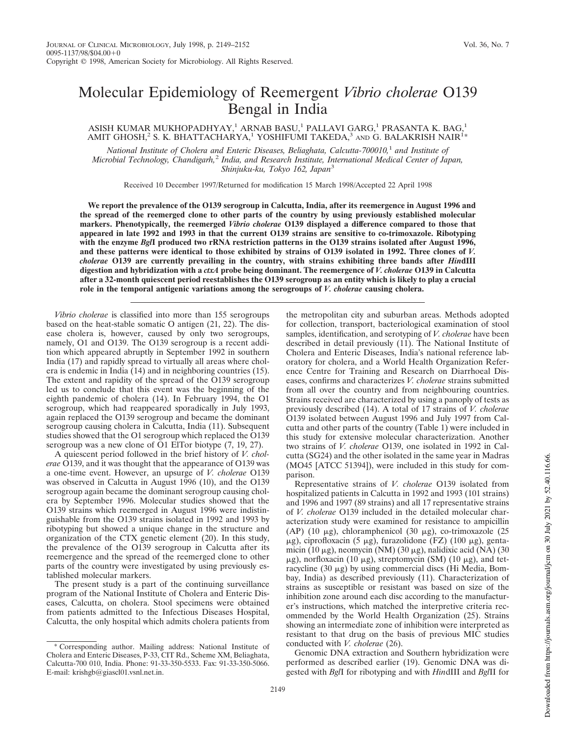## Molecular Epidemiology of Reemergent *Vibrio cholerae* O139 Bengal in India

## ASISH KUMAR MUKHOPADHYAY,<sup>1</sup> ARNAB BASU,<sup>1</sup> PALLAVI GARG,<sup>1</sup> PRASANTA K. BAG,<sup>1</sup> AMIT GHOSH, $^2$  S. K. BHATTACHARYA, $^1$  YOSHIFUMI TAKEDA, $^3$  and G. BALAKRISH NAIR $^{\hat{1}*}$

*National Institute of Cholera and Enteric Diseases, Beliaghata, Calcutta-700010,*<sup>1</sup> *and Institute of Microbial Technology, Chandigarh,*<sup>2</sup> *India, and Research Institute, International Medical Center of Japan, Shinjuku-ku, Tokyo 162, Japan*<sup>3</sup>

Received 10 December 1997/Returned for modification 15 March 1998/Accepted 22 April 1998

**We report the prevalence of the O139 serogroup in Calcutta, India, after its reemergence in August 1996 and the spread of the reemerged clone to other parts of the country by using previously established molecular markers. Phenotypically, the reemerged** *Vibrio cholerae* **O139 displayed a difference compared to those that appeared in late 1992 and 1993 in that the current O139 strains are sensitive to co-trimoxazole. Ribotyping with the enzyme** *Bgl***I produced two rRNA restriction patterns in the O139 strains isolated after August 1996, and these patterns were identical to those exhibited by strains of O139 isolated in 1992. Three clones of** *V. cholerae* **O139 are currently prevailing in the country, with strains exhibiting three bands after** *Hin***dIII digestion and hybridization with a** *ctxA* **probe being dominant. The reemergence of** *V. cholerae* **O139 in Calcutta after a 32-month quiescent period reestablishes the O139 serogroup as an entity which is likely to play a crucial role in the temporal antigenic variations among the serogroups of** *V. cholerae* **causing cholera.**

*Vibrio cholerae* is classified into more than 155 serogroups based on the heat-stable somatic O antigen (21, 22). The disease cholera is, however, caused by only two serogroups, namely, O1 and O139. The O139 serogroup is a recent addition which appeared abruptly in September 1992 in southern India (17) and rapidly spread to virtually all areas where cholera is endemic in India (14) and in neighboring countries (15). The extent and rapidity of the spread of the O139 serogroup led us to conclude that this event was the beginning of the eighth pandemic of cholera (14). In February 1994, the O1 serogroup, which had reappeared sporadically in July 1993, again replaced the O139 serogroup and became the dominant serogroup causing cholera in Calcutta, India (11). Subsequent studies showed that the O1 serogroup which replaced the O139 serogroup was a new clone of O1 ElTor biotype (7, 19, 27).

A quiescent period followed in the brief history of *V. cholerae* O139, and it was thought that the appearance of O139 was a one-time event. However, an upsurge of *V. cholerae* O139 was observed in Calcutta in August 1996 (10), and the O139 serogroup again became the dominant serogroup causing cholera by September 1996. Molecular studies showed that the O139 strains which reemerged in August 1996 were indistinguishable from the O139 strains isolated in 1992 and 1993 by ribotyping but showed a unique change in the structure and organization of the CTX genetic element (20). In this study, the prevalence of the O139 serogroup in Calcutta after its reemergence and the spread of the reemerged clone to other parts of the country were investigated by using previously established molecular markers.

The present study is a part of the continuing surveillance program of the National Institute of Cholera and Enteric Diseases, Calcutta, on cholera. Stool specimens were obtained from patients admitted to the Infectious Diseases Hospital, Calcutta, the only hospital which admits cholera patients from the metropolitan city and suburban areas. Methods adopted for collection, transport, bacteriological examination of stool samples, identification, and serotyping of *V. cholerae* have been described in detail previously (11). The National Institute of Cholera and Enteric Diseases, India's national reference laboratory for cholera, and a World Health Organization Reference Centre for Training and Research on Diarrhoeal Diseases, confirms and characterizes *V. cholerae* strains submitted from all over the country and from neighbouring countries. Strains received are characterized by using a panoply of tests as previously described (14). A total of 17 strains of *V. cholerae* O139 isolated between August 1996 and July 1997 from Calcutta and other parts of the country (Table 1) were included in this study for extensive molecular characterization. Another two strains of *V. cholerae* O139, one isolated in 1992 in Calcutta (SG24) and the other isolated in the same year in Madras (MO45 [ATCC 51394]), were included in this study for comparison.

Representative strains of *V. cholerae* O139 isolated from hospitalized patients in Calcutta in 1992 and 1993 (101 strains) and 1996 and 1997 (89 strains) and all 17 representative strains of *V. cholerae* O139 included in the detailed molecular characterization study were examined for resistance to ampicillin (AP) (10  $\mu$ g), chloramphenicol (30  $\mu$ g), co-trimoxazole (25  $\mu$ g), ciprofloxacin (5  $\mu$ g), furazolidone (FZ) (100  $\mu$ g), gentamicin (10  $\mu$ g), neomycin (NM) (30  $\mu$ g), nalidixic acid (NA) (30  $\mu$ g), norfloxacin (10  $\mu$ g), streptomycin (SM) (10  $\mu$ g), and tetracycline  $(30 \mu g)$  by using commercial discs (Hi Media, Bombay, India) as described previously (11). Characterization of strains as susceptible or resistant was based on size of the inhibition zone around each disc according to the manufacturer's instructions, which matched the interpretive criteria recommended by the World Health Organization (25). Strains showing an intermediate zone of inhibition were interpreted as resistant to that drug on the basis of previous MIC studies conducted with *V. cholerae* (26).

Genomic DNA extraction and Southern hybridization were performed as described earlier (19). Genomic DNA was digested with *Bgl*I for ribotyping and with *Hin*dIII and *Bgl*II for

<sup>\*</sup> Corresponding author. Mailing address: National Institute of Cholera and Enteric Diseases, P-33, CIT Rd., Scheme XM, Beliaghata, Calcutta-700 010, India. Phone: 91-33-350-5533. Fax: 91-33-350-5066. E-mail: krishgb@giascl01.vsnl.net.in.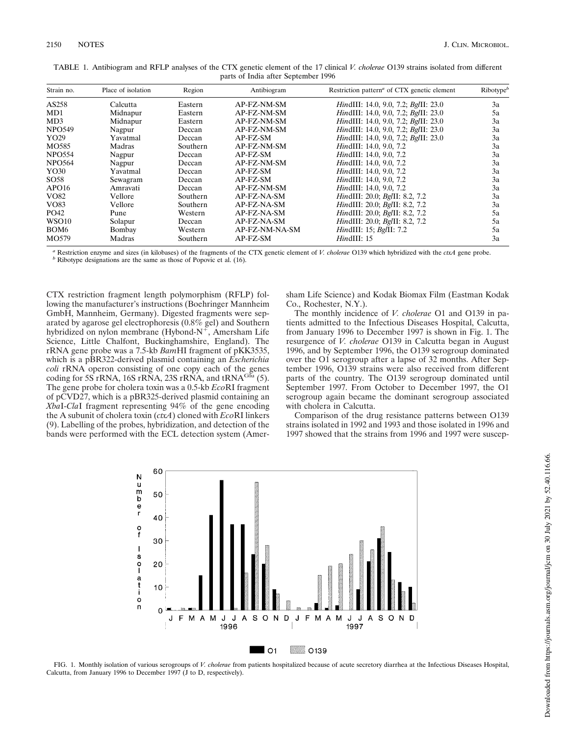| Strain no.        | Place of isolation | Region          | Antibiogram    | Restriction pattern <sup>a</sup> of CTX genetic element | Ribotype <sup>b</sup> |
|-------------------|--------------------|-----------------|----------------|---------------------------------------------------------|-----------------------|
| AS258             | Calcutta           | Eastern         | AP-FZ-NM-SM    | <i>HindIII:</i> 14.0, 9.0, 7.2; <i>BgIII:</i> 23.0      | 3a                    |
| MD1               | Midnapur           | Eastern         | AP-FZ-NM-SM    | HindIII: 14.0, 9.0, 7.2; BgIII: 23.0                    | 5a                    |
| MD3               | Midnapur           | Eastern         | AP-FZ-NM-SM    | <i>HindIII:</i> 14.0, 9.0, 7.2; <i>BgIII:</i> 23.0      | 3a                    |
| <b>NPO549</b>     | Nagpur             | Deccan          | AP-FZ-NM-SM    | <i>HindIII:</i> 14.0, 9.0, 7.2; <i>BgIII:</i> 23.0      | 3a                    |
| YO29              | Yavatmal           | Deccan          | AP-FZ-SM       | <i>HindIII:</i> 14.0, 9.0, 7.2; <i>BgIII:</i> 23.0      | 3a                    |
| MO585             | Madras             | <b>Southern</b> | AP-FZ-NM-SM    | <i>HindIII:</i> 14.0, 9.0, 7.2                          | 3a                    |
| <b>NPO554</b>     | Nagpur             | Deccan          | $AP$ -FZ-SM    | <i>HindIII:</i> 14.0, 9.0, 7.2                          | 3a                    |
| <b>NPO564</b>     | Nagpur             | Deccan          | AP-FZ-NM-SM    | HindIII: 14.0, 9.0, 7.2                                 | 3a                    |
| YO30              | Yavatmal           | Deccan          | AP-FZ-SM       | <i>HindIII:</i> 14.0, 9.0, 7.2                          | 3a                    |
| SO <sub>58</sub>  | Sewagram           | Deccan          | AP-FZ-SM       | <i>HindIII:</i> 14.0, 9.0, 7.2                          | 3a                    |
| APO <sub>16</sub> | Amravati           | Deccan          | AP-FZ-NM-SM    | <i>HindIII:</i> 14.0, 9.0, 7.2                          | 3a                    |
| VO82              | Vellore            | <b>Southern</b> | AP-FZ-NA-SM    | HindIII: 20.0; BgIII: 8.2, 7.2                          | 3a                    |
| VO83              | Vellore            | <b>Southern</b> | AP-FZ-NA-SM    | HindIII: 20.0; BgIII: 8.2, 7.2                          | 3a                    |
| PO42              | Pune               | Western         | AP-FZ-NA-SM    | HindIII: 20.0; Bg/II: 8.2, 7.2                          | 5a                    |
| WSO <sub>10</sub> | Solapur            | Deccan          | AP-FZ-NA-SM    | HindIII: 20.0; Bg/II: 8.2, 7.2                          | 5a                    |
| BOM <sub>6</sub>  | Bombay             | Western         | AP-FZ-NM-NA-SM | <i>HindIII: 15; BgIII: 7.2</i>                          | 5a                    |
| MO579             | Madras             | Southern        | AP-FZ-SM       | HindIII: 15                                             | 3a                    |
|                   |                    |                 |                |                                                         |                       |

| TABLE 1. Antibiogram and RFLP analyses of the CTX genetic element of the 17 clinical V, cholerae O139 strains isolated from different |  |  |  |  |  |
|---------------------------------------------------------------------------------------------------------------------------------------|--|--|--|--|--|
| parts of India after September 1996                                                                                                   |  |  |  |  |  |

*<sup>a</sup>* Restriction enzyme and sizes (in kilobases) of the fragments of the CTX genetic element of *V. cholerae* O139 which hybridized with the *ctxA* gene probe. *b* Ribotype designations are the same as those of Popovic et al. (16).

CTX restriction fragment length polymorphism (RFLP) following the manufacturer's instructions (Boehringer Mannheim GmbH, Mannheim, Germany). Digested fragments were separated by agarose gel electrophoresis (0.8% gel) and Southern hybridized on nylon membrane (Hybond-N<sup>+</sup>, Amersham Life Science, Little Chalfont, Buckinghamshire, England). The rRNA gene probe was a 7.5-kb *Bam*HI fragment of pKK3535, which is a pBR322-derived plasmid containing an *Escherichia coli* rRNA operon consisting of one copy each of the genes coding for 5S rRNA, 16S rRNA, 23S rRNA, and tRNA<sup>GIu</sup> (5). The gene probe for cholera toxin was a 0.5-kb *Eco*RI fragment of pCVD27, which is a pBR325-derived plasmid containing an *Xba*I-*Cla*I fragment representing 94% of the gene encoding the A subunit of cholera toxin (*ctxA*) cloned with *Eco*RI linkers (9). Labelling of the probes, hybridization, and detection of the bands were performed with the ECL detection system (Amersham Life Science) and Kodak Biomax Film (Eastman Kodak Co., Rochester, N.Y.).

The monthly incidence of *V. cholerae* O1 and O139 in patients admitted to the Infectious Diseases Hospital, Calcutta, from January 1996 to December 1997 is shown in Fig. 1. The resurgence of *V. cholerae* O139 in Calcutta began in August 1996, and by September 1996, the O139 serogroup dominated over the O1 serogroup after a lapse of 32 months. After September 1996, O139 strains were also received from different parts of the country. The O139 serogroup dominated until September 1997. From October to December 1997, the O1 serogroup again became the dominant serogroup associated with cholera in Calcutta.

Comparison of the drug resistance patterns between O139 strains isolated in 1992 and 1993 and those isolated in 1996 and 1997 showed that the strains from 1996 and 1997 were suscep-



FIG. 1. Monthly isolation of various serogroups of *V. cholerae* from patients hospitalized because of acute secretory diarrhea at the Infectious Diseases Hospital, Calcutta, from January 1996 to December 1997 (J to D, respectively).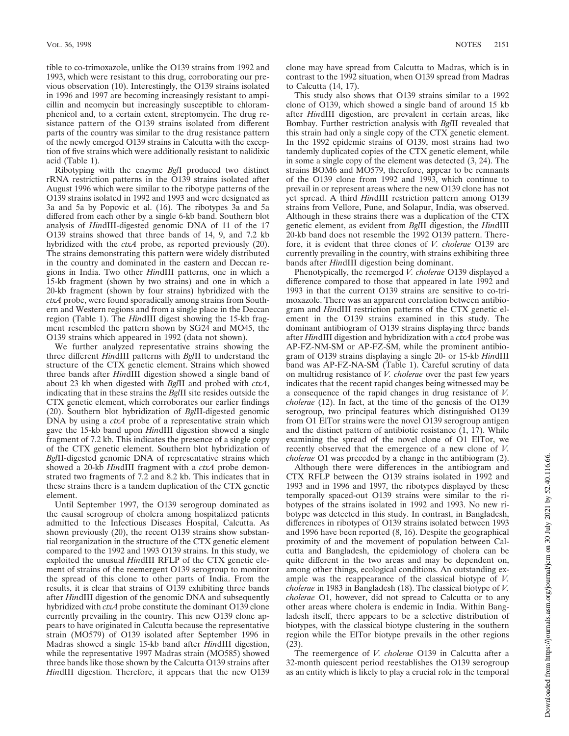tible to co-trimoxazole, unlike the O139 strains from 1992 and 1993, which were resistant to this drug, corroborating our previous observation (10). Interestingly, the O139 strains isolated in 1996 and 1997 are becoming increasingly resistant to ampicillin and neomycin but increasingly susceptible to chloramphenicol and, to a certain extent, streptomycin. The drug resistance pattern of the O139 strains isolated from different parts of the country was similar to the drug resistance pattern of the newly emerged O139 strains in Calcutta with the exception of five strains which were additionally resistant to nalidixic acid (Table 1).

Ribotyping with the enzyme *Bgl*I produced two distinct rRNA restriction patterns in the O139 strains isolated after August 1996 which were similar to the ribotype patterns of the O139 strains isolated in 1992 and 1993 and were designated as 3a and 5a by Popovic et al. (16). The ribotypes 3a and 5a differed from each other by a single 6-kb band. Southern blot analysis of *Hin*dIII-digested genomic DNA of 11 of the 17 O139 strains showed that three bands of 14, 9, and 7.2 kb hybridized with the *ctxA* probe, as reported previously (20). The strains demonstrating this pattern were widely distributed in the country and dominated in the eastern and Deccan regions in India. Two other *Hin*dIII patterns, one in which a 15-kb fragment (shown by two strains) and one in which a 20-kb fragment (shown by four strains) hybridized with the *ctxA* probe, were found sporadically among strains from Southern and Western regions and from a single place in the Deccan region (Table 1). The *Hin*dIII digest showing the 15-kb fragment resembled the pattern shown by SG24 and MO45, the O139 strains which appeared in 1992 (data not shown).

We further analyzed representative strains showing the three different *Hin*dIII patterns with *Bgl*II to understand the structure of the CTX genetic element. Strains which showed three bands after *Hin*dIII digestion showed a single band of about 23 kb when digested with *Bgl*II and probed with *ctxA*, indicating that in these strains the *Bgl*II site resides outside the CTX genetic element, which corroborates our earlier findings (20). Southern blot hybridization of *Bgl*II-digested genomic DNA by using a *ctxA* probe of a representative strain which gave the 15-kb band upon *Hin*dIII digestion showed a single fragment of 7.2 kb. This indicates the presence of a single copy of the CTX genetic element. Southern blot hybridization of *Bgl*II-digested genomic DNA of representative strains which showed a 20-kb *Hin*dIII fragment with a *ctxA* probe demonstrated two fragments of 7.2 and 8.2 kb. This indicates that in these strains there is a tandem duplication of the CTX genetic element.

Until September 1997, the O139 serogroup dominated as the causal serogroup of cholera among hospitalized patients admitted to the Infectious Diseases Hospital, Calcutta. As shown previously (20), the recent O139 strains show substantial reorganization in the structure of the CTX genetic element compared to the 1992 and 1993 O139 strains. In this study, we exploited the unusual *Hin*dIII RFLP of the CTX genetic element of strains of the reemergent O139 serogroup to monitor the spread of this clone to other parts of India. From the results, it is clear that strains of O139 exhibiting three bands after *Hin*dIII digestion of the genomic DNA and subsequently hybridized with *ctxA* probe constitute the dominant O139 clone currently prevailing in the country. This new O139 clone appears to have originated in Calcutta because the representative strain (MO579) of O139 isolated after September 1996 in Madras showed a single 15-kb band after *Hin*dIII digestion, while the representative 1997 Madras strain (MO585) showed three bands like those shown by the Calcutta O139 strains after *Hin*dIII digestion. Therefore, it appears that the new O139

clone may have spread from Calcutta to Madras, which is in contrast to the 1992 situation, when O139 spread from Madras to Calcutta (14, 17).

This study also shows that O139 strains similar to a 1992 clone of O139, which showed a single band of around 15 kb after *Hin*dIII digestion, are prevalent in certain areas, like Bombay. Further restriction analysis with *Bgl*II revealed that this strain had only a single copy of the CTX genetic element. In the 1992 epidemic strains of O139, most strains had two tandemly duplicated copies of the CTX genetic element, while in some a single copy of the element was detected (3, 24). The strains BOM6 and MO579, therefore, appear to be remnants of the O139 clone from 1992 and 1993, which continue to prevail in or represent areas where the new O139 clone has not yet spread. A third *Hin*dIII restriction pattern among O139 strains from Vellore, Pune, and Solapur, India, was observed. Although in these strains there was a duplication of the CTX genetic element, as evident from *Bgl*II digestion, the *Hin*dIII 20-kb band does not resemble the 1992 O139 pattern. Therefore, it is evident that three clones of *V. cholerae* O139 are currently prevailing in the country, with strains exhibiting three bands after *Hin*dIII digestion being dominant.

Phenotypically, the reemerged *V. cholerae* O139 displayed a difference compared to those that appeared in late 1992 and 1993 in that the current O139 strains are sensitive to co-trimoxazole. There was an apparent correlation between antibiogram and *Hin*dIII restriction patterns of the CTX genetic element in the O139 strains examined in this study. The dominant antibiogram of O139 strains displaying three bands after *Hin*dIII digestion and hybridization with a *ctxA* probe was AP-FZ-NM-SM or AP-FZ-SM, while the prominent antibiogram of O139 strains displaying a single 20- or 15-kb *Hin*dIII band was AP-FZ-NA-SM (Table 1). Careful scrutiny of data on multidrug resistance of *V. cholerae* over the past few years indicates that the recent rapid changes being witnessed may be a consequence of the rapid changes in drug resistance of *V. cholerae* (12). In fact, at the time of the genesis of the O139 serogroup, two principal features which distinguished O139 from O1 ElTor strains were the novel O139 serogroup antigen and the distinct pattern of antibiotic resistance  $(1, 17)$ . While examining the spread of the novel clone of O1 ElTor, we recently observed that the emergence of a new clone of *V. cholerae* O1 was preceded by a change in the antibiogram (2).

Although there were differences in the antibiogram and CTX RFLP between the O139 strains isolated in 1992 and 1993 and in 1996 and 1997, the ribotypes displayed by these temporally spaced-out O139 strains were similar to the ribotypes of the strains isolated in 1992 and 1993. No new ribotype was detected in this study. In contrast, in Bangladesh, differences in ribotypes of O139 strains isolated between 1993 and 1996 have been reported (8, 16). Despite the geographical proximity of and the movement of population between Calcutta and Bangladesh, the epidemiology of cholera can be quite different in the two areas and may be dependent on, among other things, ecological conditions. An outstanding example was the reappearance of the classical biotype of *V. cholerae* in 1983 in Bangladesh (18). The classical biotype of *V. cholerae* O1, however, did not spread to Calcutta or to any other areas where cholera is endemic in India. Within Bangladesh itself, there appears to be a selective distribution of biotypes, with the classical biotype clustering in the southern region while the ElTor biotype prevails in the other regions (23).

The reemergence of *V. cholerae* O139 in Calcutta after a 32-month quiescent period reestablishes the O139 serogroup as an entity which is likely to play a crucial role in the temporal